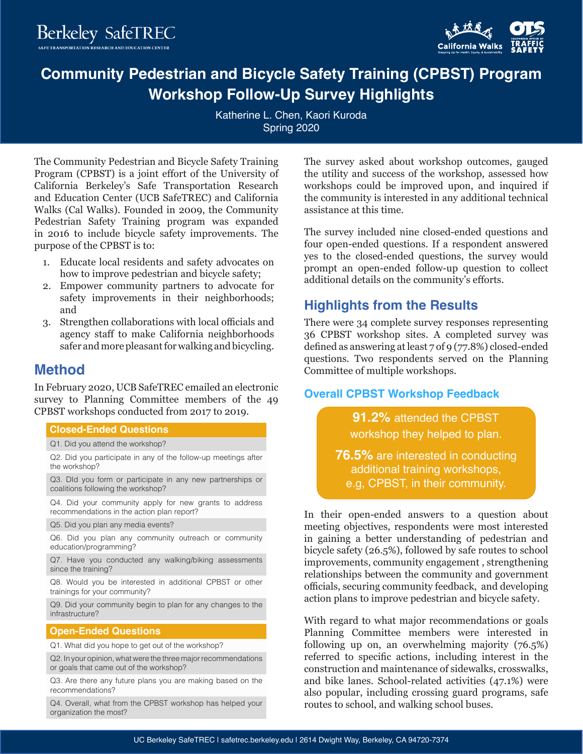**Berkeley SafeTREC** 



# **Community Pedestrian and Bicycle Safety Training (CPBST) Program Workshop Follow-Up Survey Highlights**

Katherine L. Chen, Kaori Kuroda Spring 2020

The Community Pedestrian and Bicycle Safety Training Program (CPBST) is a joint effort of the University of California Berkeley's Safe Transportation Research and Education Center (UCB SafeTREC) and California Walks (Cal Walks). Founded in 2009, the Community Pedestrian Safety Training program was expanded in 2016 to include bicycle safety improvements. The purpose of the CPBST is to:

- 1. Educate local residents and safety advocates on how to improve pedestrian and bicycle safety;
- 2. Empower community partners to advocate for safety improvements in their neighborhoods; and
- 3. Strengthen collaborations with local officials and agency staff to make California neighborhoods safer and more pleasant for walking and bicycling.

## **Method**

In February 2020, UCB SafeTREC emailed an electronic survey to Planning Committee members of the 49 CPBST workshops conducted from 2017 to 2019.

#### **Closed-Ended Questions Closed-Ended Questions**

Q1. Did you attend the workshop?

Q2. Did you participate in any of the follow-up meetings after the workshop?

Q3. DId you form or participate in any new partnerships or coalitions following the workshop?

Q4. Did your community apply for new grants to address recommendations in the action plan report?

Q5. Did you plan any media events?

Q6. Did you plan any community outreach or community education/programming?

Q7. Have you conducted any walking/biking assessments since the training?

Q8. Would you be interested in additional CPBST or other trainings for your community?

Q9. Did your community begin to plan for any changes to the infrastructure?

#### **Open-Ended Questions Open-Ended Questions**

Q1. What did you hope to get out of the workshop?

Q2. In your opinion, what were the three major recommendations or goals that came out of the workshop?

Q3. Are there any future plans you are making based on the recommendations?

Q4. Overall, what from the CPBST workshop has helped your organization the most?

The survey asked about workshop outcomes, gauged the utility and success of the workshop, assessed how workshops could be improved upon, and inquired if the community is interested in any additional technical assistance at this time.

The survey included nine closed-ended questions and four open-ended questions. If a respondent answered yes to the closed-ended questions, the survey would prompt an open-ended follow-up question to collect additional details on the community's efforts.

# **Highlights from the Results**

There were 34 complete survey responses representing 36 CPBST workshop sites. A completed survey was defined as answering at least 7 of 9 (77.8%) closed-ended questions. Two respondents served on the Planning Committee of multiple workshops.

### **Overall CPBST Workshop Feedback**

**91.2%** attended the CPBST workshop they helped to plan.

**76.5%** are interested in conducting additional training workshops, e.g, CPBST, in their community.

In their open-ended answers to a question about meeting objectives, respondents were most interested in gaining a better understanding of pedestrian and bicycle safety (26.5%), followed by safe routes to school improvements, community engagement , strengthening relationships between the community and government officials, securing community feedback, and developing action plans to improve pedestrian and bicycle safety.

With regard to what major recommendations or goals Planning Committee members were interested in following up on, an overwhelming majority (76.5%) referred to specific actions, including interest in the construction and maintenance of sidewalks, crosswalks, and bike lanes. School-related activities (47.1%) were also popular, including crossing guard programs, safe routes to school, and walking school buses.